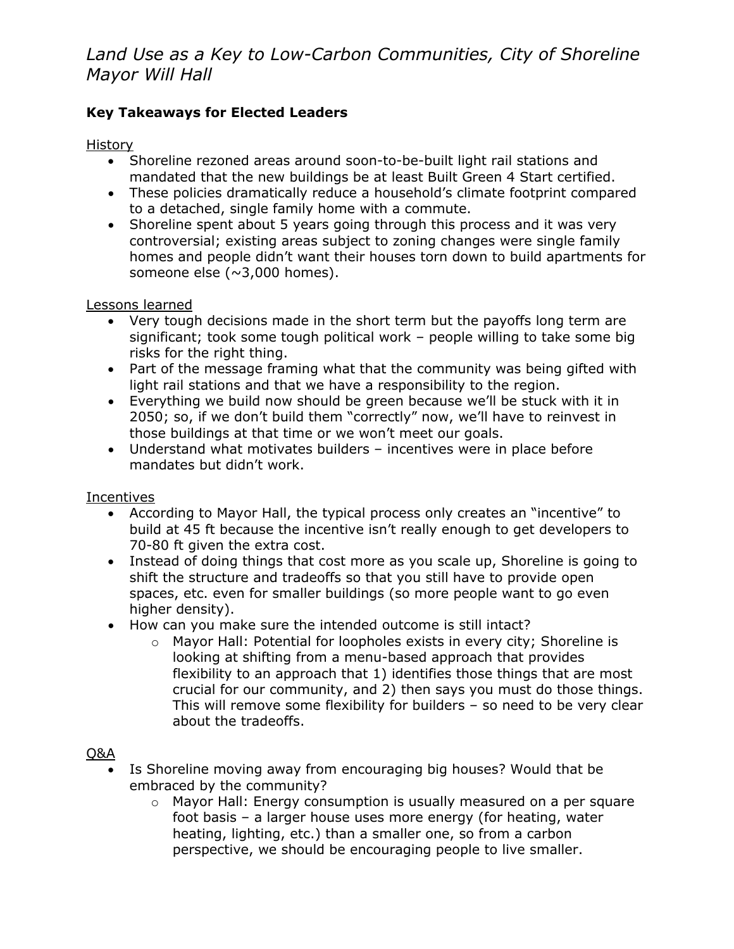# *Land Use as a Key to Low-Carbon Communities, City of Shoreline Mayor Will Hall*

### **Key Takeaways for Elected Leaders**

### History

- Shoreline rezoned areas around soon-to-be-built light rail stations and mandated that the new buildings be at least Built Green 4 Start certified.
- These policies dramatically reduce a household's climate footprint compared to a detached, single family home with a commute.
- Shoreline spent about 5 years going through this process and it was very controversial; existing areas subject to zoning changes were single family homes and people didn't want their houses torn down to build apartments for someone else (~3,000 homes).

#### Lessons learned

- Very tough decisions made in the short term but the payoffs long term are significant; took some tough political work – people willing to take some big risks for the right thing.
- Part of the message framing what that the community was being gifted with light rail stations and that we have a responsibility to the region.
- Everything we build now should be green because we'll be stuck with it in 2050; so, if we don't build them "correctly" now, we'll have to reinvest in those buildings at that time or we won't meet our goals.
- Understand what motivates builders incentives were in place before mandates but didn't work.

#### **Incentives**

- According to Mayor Hall, the typical process only creates an "incentive" to build at 45 ft because the incentive isn't really enough to get developers to 70-80 ft given the extra cost.
- Instead of doing things that cost more as you scale up, Shoreline is going to shift the structure and tradeoffs so that you still have to provide open spaces, etc. even for smaller buildings (so more people want to go even higher density).
- How can you make sure the intended outcome is still intact?
	- o Mayor Hall: Potential for loopholes exists in every city; Shoreline is looking at shifting from a menu-based approach that provides flexibility to an approach that 1) identifies those things that are most crucial for our community, and 2) then says you must do those things. This will remove some flexibility for builders – so need to be very clear about the tradeoffs.

#### Q&A

- Is Shoreline moving away from encouraging big houses? Would that be embraced by the community?
	- $\circ$  Mayor Hall: Energy consumption is usually measured on a per square foot basis – a larger house uses more energy (for heating, water heating, lighting, etc.) than a smaller one, so from a carbon perspective, we should be encouraging people to live smaller.